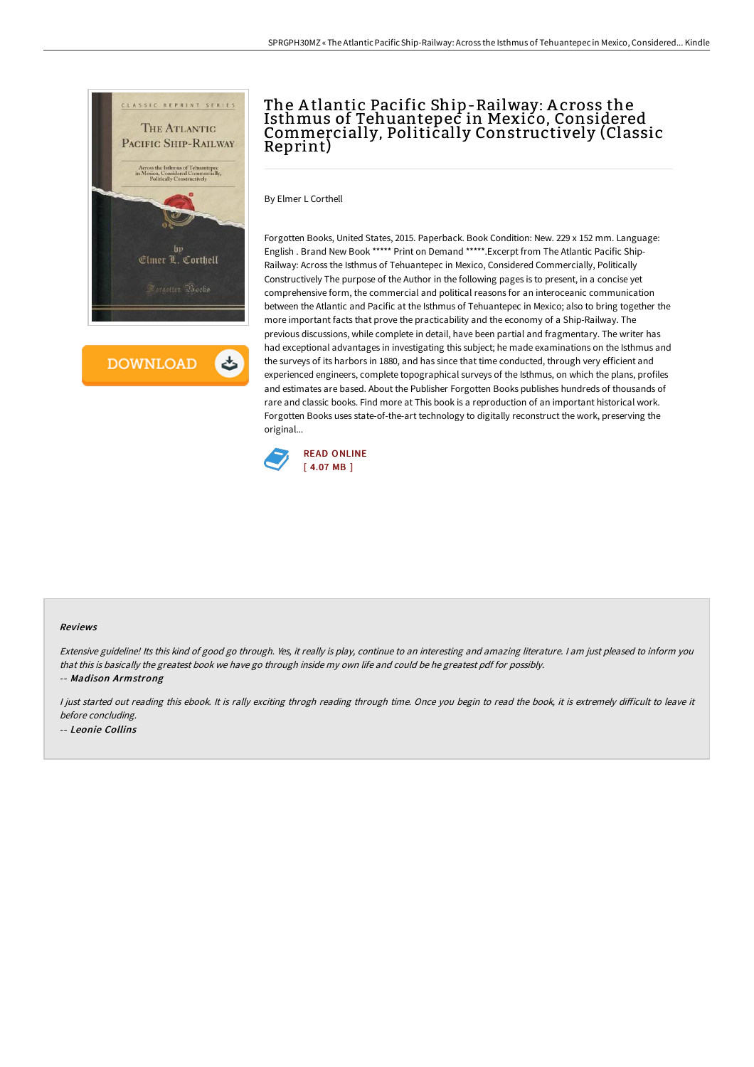

**DOWNLOAD** 

## The A tlantic Pacific Ship-Railway: A cross the Isthmus of Tehuantepec in Mexico, Considered Commercially, Politically Constructively (Classic Reprint)

By Elmer L Corthell

Forgotten Books, United States, 2015. Paperback. Book Condition: New. 229 x 152 mm. Language: English . Brand New Book \*\*\*\*\* Print on Demand \*\*\*\*\*.Excerpt from The Atlantic Pacific Ship-Railway: Across the Isthmus of Tehuantepec in Mexico, Considered Commercially, Politically Constructively The purpose of the Author in the following pages is to present, in a concise yet comprehensive form, the commercial and political reasons for an interoceanic communication between the Atlantic and Pacific at the Isthmus of Tehuantepec in Mexico; also to bring together the more important facts that prove the practicability and the economy of a Ship-Railway. The previous discussions, while complete in detail, have been partial and fragmentary. The writer has had exceptional advantages in investigating this subject; he made examinations on the Isthmus and the surveys of its harbors in 1880, and has since that time conducted, through very efficient and experienced engineers, complete topographical surveys of the Isthmus, on which the plans, profiles and estimates are based. About the Publisher Forgotten Books publishes hundreds of thousands of rare and classic books. Find more at This book is a reproduction of an important historical work. Forgotten Books uses state-of-the-art technology to digitally reconstruct the work, preserving the original...



## Reviews

Extensive guideline! Its this kind of good go through. Yes, it really is play, continue to an interesting and amazing literature. <sup>I</sup> am just pleased to inform you that this is basically the greatest book we have go through inside my own life and could be he greatest pdf for possibly. -- Madison Armstrong

I just started out reading this ebook. It is rally exciting throgh reading through time. Once you begin to read the book, it is extremely difficult to leave it before concluding. -- Leonie Collins